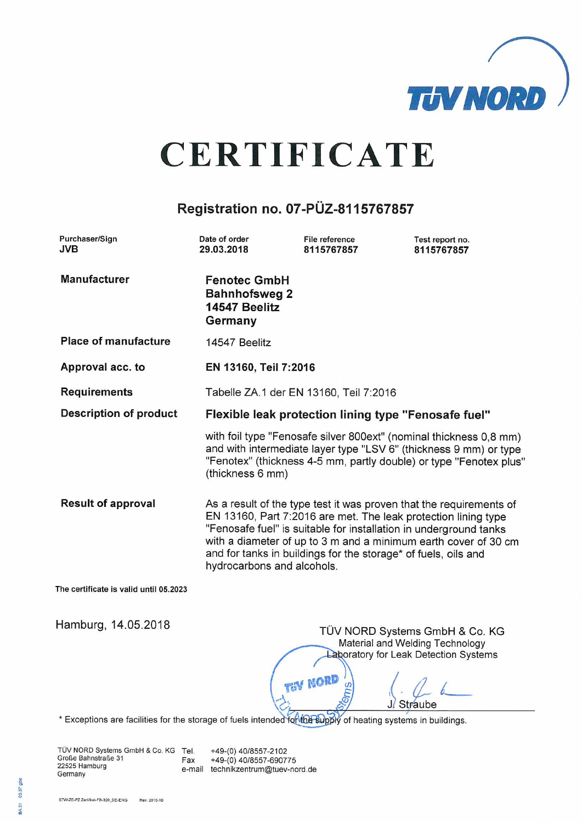

# **CERTIFICATE**

## Registration no. 07-PÜZ-8115767857

| Purchaser/Sign<br><b>JVB</b>           | Date of order<br>29.03.2018                                                                                                                                                                                                                                                                                                                                                   | File reference<br>8115767857 | Test report no.<br>8115767857  |
|----------------------------------------|-------------------------------------------------------------------------------------------------------------------------------------------------------------------------------------------------------------------------------------------------------------------------------------------------------------------------------------------------------------------------------|------------------------------|--------------------------------|
| <b>Manufacturer</b>                    | <b>Fenotec GmbH</b><br><b>Bahnhofsweg 2</b><br>14547 Beelitz<br>Germany                                                                                                                                                                                                                                                                                                       |                              |                                |
| <b>Place of manufacture</b>            | 14547 Beelitz                                                                                                                                                                                                                                                                                                                                                                 |                              |                                |
| Approval acc. to                       | EN 13160, Teil 7:2016                                                                                                                                                                                                                                                                                                                                                         |                              |                                |
| <b>Requirements</b>                    | Tabelle ZA.1 der EN 13160, Teil 7:2016                                                                                                                                                                                                                                                                                                                                        |                              |                                |
| <b>Description of product</b>          | Flexible leak protection lining type "Fenosafe fuel"                                                                                                                                                                                                                                                                                                                          |                              |                                |
|                                        | with foil type "Fenosafe silver 800ext" (nominal thickness 0,8 mm)<br>and with intermediate layer type "LSV 6" (thickness 9 mm) or type<br>"Fenotex" (thickness 4-5 mm, partly double) or type "Fenotex plus"<br>(thickness 6 mm)                                                                                                                                             |                              |                                |
| <b>Result of approval</b>              | As a result of the type test it was proven that the requirements of<br>EN 13160, Part 7:2016 are met. The leak protection lining type<br>"Fenosafe fuel" is suitable for installation in underground tanks<br>with a diameter of up to 3 m and a minimum earth cover of 30 cm<br>and for tanks in buildings for the storage* of fuels, oils and<br>hydrocarbons and alcohols. |                              |                                |
| The certificate is valid until 05.2023 |                                                                                                                                                                                                                                                                                                                                                                               |                              |                                |
| Hamburg, 14.05.2018                    |                                                                                                                                                                                                                                                                                                                                                                               |                              | TÜV NORD Systems GmbH & Co. KG |

Material and Welding Technology Laboratory for Leak Detection Systems **THY NORD** S Sm Straube .17

\* Exceptions are facilities for the storage of fuels intended for the supply of heating systems in buildings.

TÜV NORD Systems GmbH & Co. KG Tel.<br>Große Bahnstraße 31 Fax +49-(0) 40/8557-2102 +49-(0) 40/8557-690775 Fax 22525 Hamburg e-mail technikzentrum@tuev-nord.de Germany